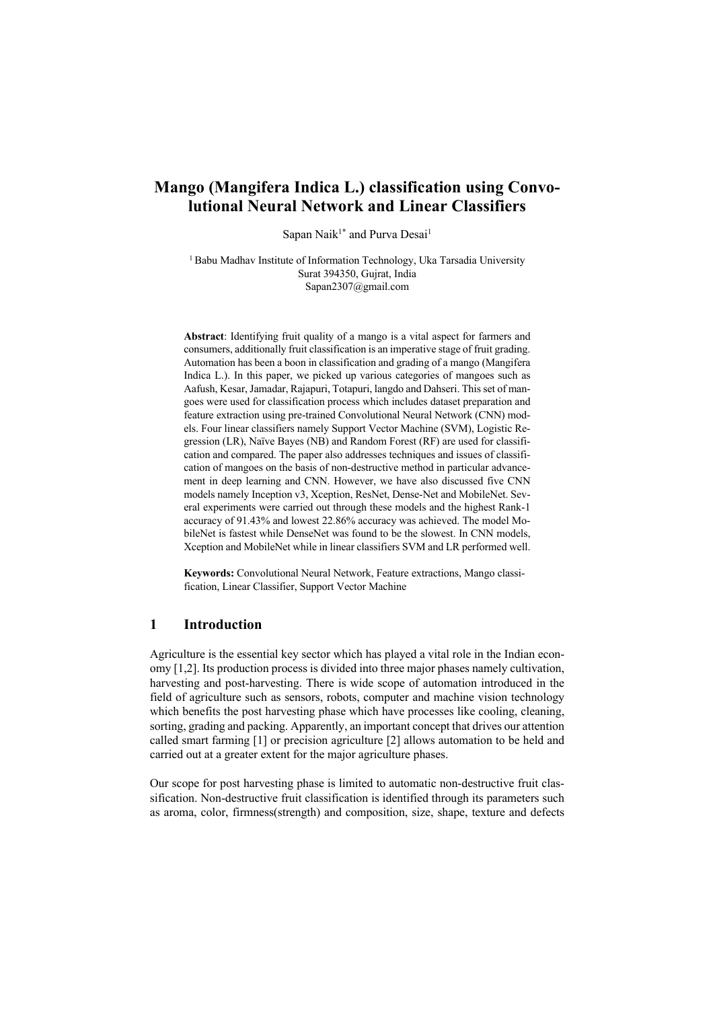# **Mango (Mangifera Indica L.) classification using Convolutional Neural Network and Linear Classifiers**

Sapan Naik<sup>1\*</sup> and Purva Desai<sup>1</sup>

<sup>1</sup> Babu Madhav Institute of Information Technology, Uka Tarsadia University Surat 394350, Gujrat, India Sapan2307@gmail.com

**Abstract**: Identifying fruit quality of a mango is a vital aspect for farmers and consumers, additionally fruit classification is an imperative stage of fruit grading. Automation has been a boon in classification and grading of a mango (Mangifera Indica L.). In this paper, we picked up various categories of mangoes such as Aafush, Kesar, Jamadar, Rajapuri, Totapuri, langdo and Dahseri. This set of mangoes were used for classification process which includes dataset preparation and feature extraction using pre-trained Convolutional Neural Network (CNN) models. Four linear classifiers namely Support Vector Machine (SVM), Logistic Regression (LR), Naïve Bayes (NB) and Random Forest (RF) are used for classification and compared. The paper also addresses techniques and issues of classification of mangoes on the basis of non-destructive method in particular advancement in deep learning and CNN. However, we have also discussed five CNN models namely Inception v3, Xception, ResNet, Dense-Net and MobileNet. Several experiments were carried out through these models and the highest Rank-1 accuracy of 91.43% and lowest 22.86% accuracy was achieved. The model MobileNet is fastest while DenseNet was found to be the slowest. In CNN models, Xception and MobileNet while in linear classifiers SVM and LR performed well.

**Keywords:** Convolutional Neural Network, Feature extractions, Mango classification, Linear Classifier, Support Vector Machine

# **1 Introduction**

Agriculture is the essential key sector which has played a vital role in the Indian economy [1,2]. Its production process is divided into three major phases namely cultivation, harvesting and post-harvesting. There is wide scope of automation introduced in the field of agriculture such as sensors, robots, computer and machine vision technology which benefits the post harvesting phase which have processes like cooling, cleaning, sorting, grading and packing. Apparently, an important concept that drives our attention called smart farming [1] or precision agriculture [2] allows automation to be held and carried out at a greater extent for the major agriculture phases.

Our scope for post harvesting phase is limited to automatic non-destructive fruit classification. Non-destructive fruit classification is identified through its parameters such as aroma, color, firmness(strength) and composition, size, shape, texture and defects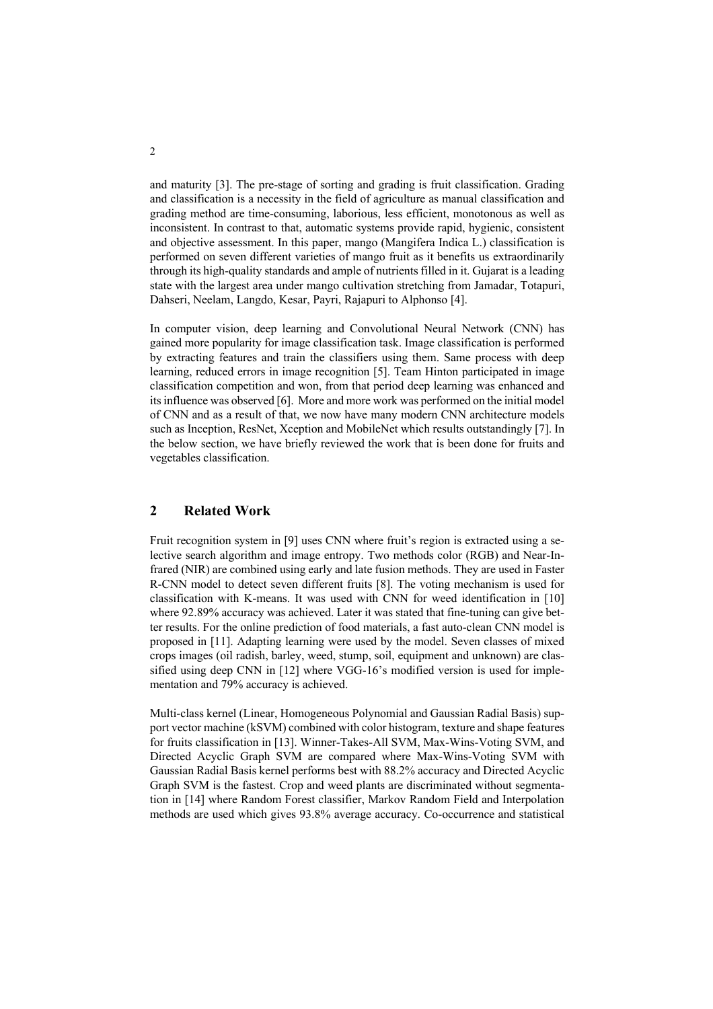and maturity [3]. The pre-stage of sorting and grading is fruit classification. Grading and classification is a necessity in the field of agriculture as manual classification and grading method are time-consuming, laborious, less efficient, monotonous as well as inconsistent. In contrast to that, automatic systems provide rapid, hygienic, consistent and objective assessment. In this paper, mango (Mangifera Indica L.) classification is performed on seven different varieties of mango fruit as it benefits us extraordinarily through its high-quality standards and ample of nutrients filled in it. Gujarat is a leading state with the largest area under mango cultivation stretching from Jamadar, Totapuri, Dahseri, Neelam, Langdo, Kesar, Payri, Rajapuri to Alphonso [4].

In computer vision, deep learning and Convolutional Neural Network (CNN) has gained more popularity for image classification task. Image classification is performed by extracting features and train the classifiers using them. Same process with deep learning, reduced errors in image recognition [5]. Team Hinton participated in image classification competition and won, from that period deep learning was enhanced and its influence was observed [6]. More and more work was performed on the initial model of CNN and as a result of that, we now have many modern CNN architecture models such as Inception, ResNet, Xception and MobileNet which results outstandingly [7]. In the below section, we have briefly reviewed the work that is been done for fruits and vegetables classification.

# **2 Related Work**

Fruit recognition system in [9] uses CNN where fruit's region is extracted using a selective search algorithm and image entropy. Two methods color (RGB) and Near-Infrared (NIR) are combined using early and late fusion methods. They are used in Faster R-CNN model to detect seven different fruits [8]. The voting mechanism is used for classification with K-means. It was used with CNN for weed identification in [10] where 92.89% accuracy was achieved. Later it was stated that fine-tuning can give better results. For the online prediction of food materials, a fast auto-clean CNN model is proposed in [11]. Adapting learning were used by the model. Seven classes of mixed crops images (oil radish, barley, weed, stump, soil, equipment and unknown) are classified using deep CNN in [12] where VGG-16's modified version is used for implementation and 79% accuracy is achieved.

Multi-class kernel (Linear, Homogeneous Polynomial and Gaussian Radial Basis) support vector machine (kSVM) combined with color histogram, texture and shape features for fruits classification in [13]. Winner-Takes-All SVM, Max-Wins-Voting SVM, and Directed Acyclic Graph SVM are compared where Max-Wins-Voting SVM with Gaussian Radial Basis kernel performs best with 88.2% accuracy and Directed Acyclic Graph SVM is the fastest. Crop and weed plants are discriminated without segmentation in [14] where Random Forest classifier, Markov Random Field and Interpolation methods are used which gives 93.8% average accuracy. Co-occurrence and statistical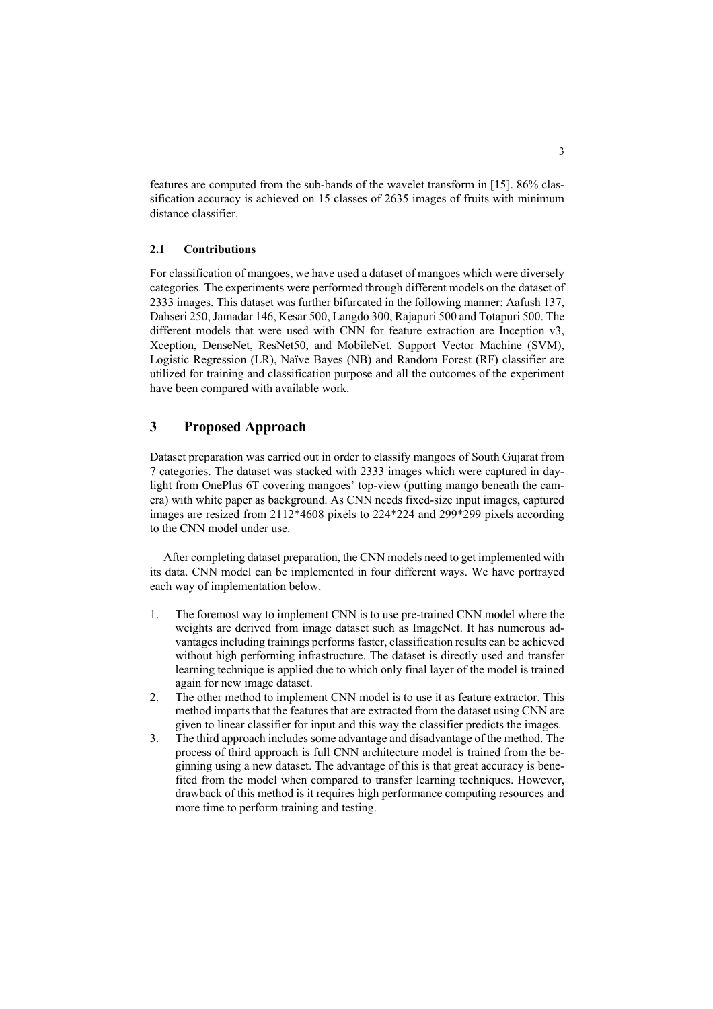features are computed from the sub-bands of the wavelet transform in [15]. 86% classification accuracy is achieved on 15 classes of 2635 images of fruits with minimum distance classifier.

## **2.1 Contributions**

For classification of mangoes, we have used a dataset of mangoes which were diversely categories. The experiments were performed through different models on the dataset of 2333 images. This dataset was further bifurcated in the following manner: Aafush 137, Dahseri 250, Jamadar 146, Kesar 500, Langdo 300, Rajapuri 500 and Totapuri 500. The different models that were used with CNN for feature extraction are Inception v3, Xception, DenseNet, ResNet50, and MobileNet. Support Vector Machine (SVM), Logistic Regression (LR), Naïve Bayes (NB) and Random Forest (RF) classifier are utilized for training and classification purpose and all the outcomes of the experiment have been compared with available work.

# **3 Proposed Approach**

Dataset preparation was carried out in order to classify mangoes of South Gujarat from 7 categories. The dataset was stacked with 2333 images which were captured in daylight from OnePlus 6T covering mangoes' top-view (putting mango beneath the camera) with white paper as background. As CNN needs fixed-size input images, captured images are resized from 2112\*4608 pixels to 224\*224 and 299\*299 pixels according to the CNN model under use.

After completing dataset preparation, the CNN models need to get implemented with its data. CNN model can be implemented in four different ways. We have portrayed each way of implementation below.

- 1. The foremost way to implement CNN is to use pre-trained CNN model where the weights are derived from image dataset such as ImageNet. It has numerous advantages including trainings performs faster, classification results can be achieved without high performing infrastructure. The dataset is directly used and transfer learning technique is applied due to which only final layer of the model is trained again for new image dataset.
- 2. The other method to implement CNN model is to use it as feature extractor. This method imparts that the features that are extracted from the dataset using CNN are given to linear classifier for input and this way the classifier predicts the images.
- 3. The third approach includes some advantage and disadvantage of the method. The process of third approach is full CNN architecture model is trained from the beginning using a new dataset. The advantage of this is that great accuracy is benefited from the model when compared to transfer learning techniques. However, drawback of this method is it requires high performance computing resources and more time to perform training and testing.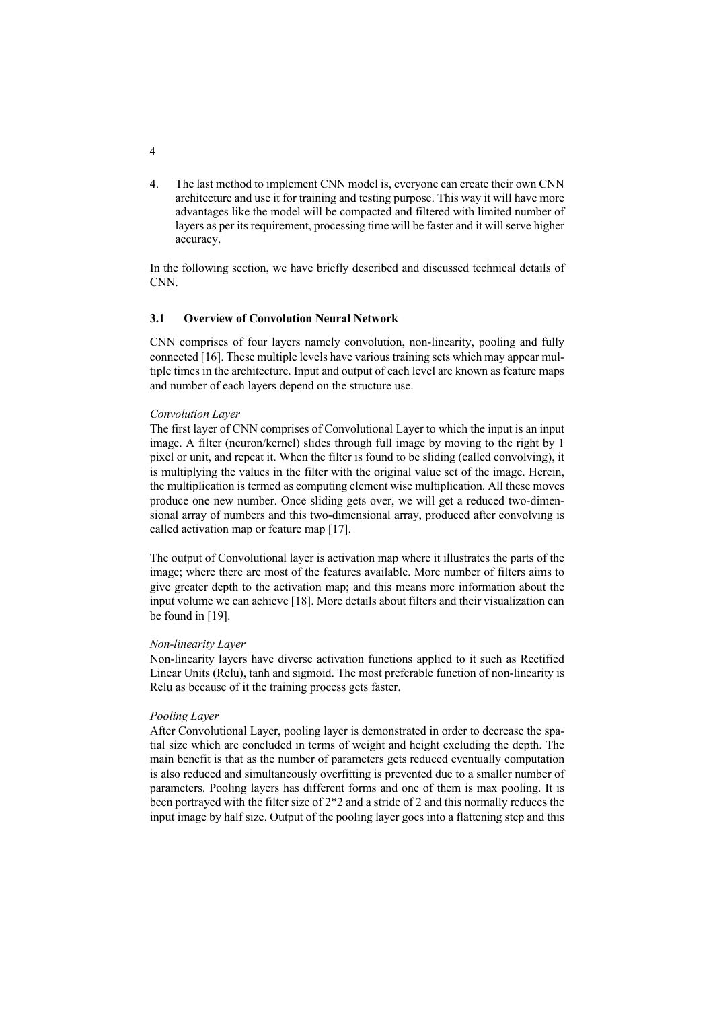4. The last method to implement CNN model is, everyone can create their own CNN architecture and use it for training and testing purpose. This way it will have more advantages like the model will be compacted and filtered with limited number of layers as per its requirement, processing time will be faster and it will serve higher accuracy.

In the following section, we have briefly described and discussed technical details of CNN.

#### **3.1 Overview of Convolution Neural Network**

CNN comprises of four layers namely convolution, non-linearity, pooling and fully connected [16]. These multiple levels have various training sets which may appear multiple times in the architecture. Input and output of each level are known as feature maps and number of each layers depend on the structure use.

### *Convolution Layer*

The first layer of CNN comprises of Convolutional Layer to which the input is an input image. A filter (neuron/kernel) slides through full image by moving to the right by 1 pixel or unit, and repeat it. When the filter is found to be sliding (called convolving), it is multiplying the values in the filter with the original value set of the image. Herein, the multiplication is termed as computing element wise multiplication. All these moves produce one new number. Once sliding gets over, we will get a reduced two-dimensional array of numbers and this two-dimensional array, produced after convolving is called activation map or feature map [17].

The output of Convolutional layer is activation map where it illustrates the parts of the image; where there are most of the features available. More number of filters aims to give greater depth to the activation map; and this means more information about the input volume we can achieve [18]. More details about filters and their visualization can be found in [19].

#### *Non-linearity Layer*

Non-linearity layers have diverse activation functions applied to it such as Rectified Linear Units (Relu), tanh and sigmoid. The most preferable function of non-linearity is Relu as because of it the training process gets faster.

#### *Pooling Layer*

After Convolutional Layer, pooling layer is demonstrated in order to decrease the spatial size which are concluded in terms of weight and height excluding the depth. The main benefit is that as the number of parameters gets reduced eventually computation is also reduced and simultaneously overfitting is prevented due to a smaller number of parameters. Pooling layers has different forms and one of them is max pooling. It is been portrayed with the filter size of 2\*2 and a stride of 2 and this normally reduces the input image by half size. Output of the pooling layer goes into a flattening step and this

4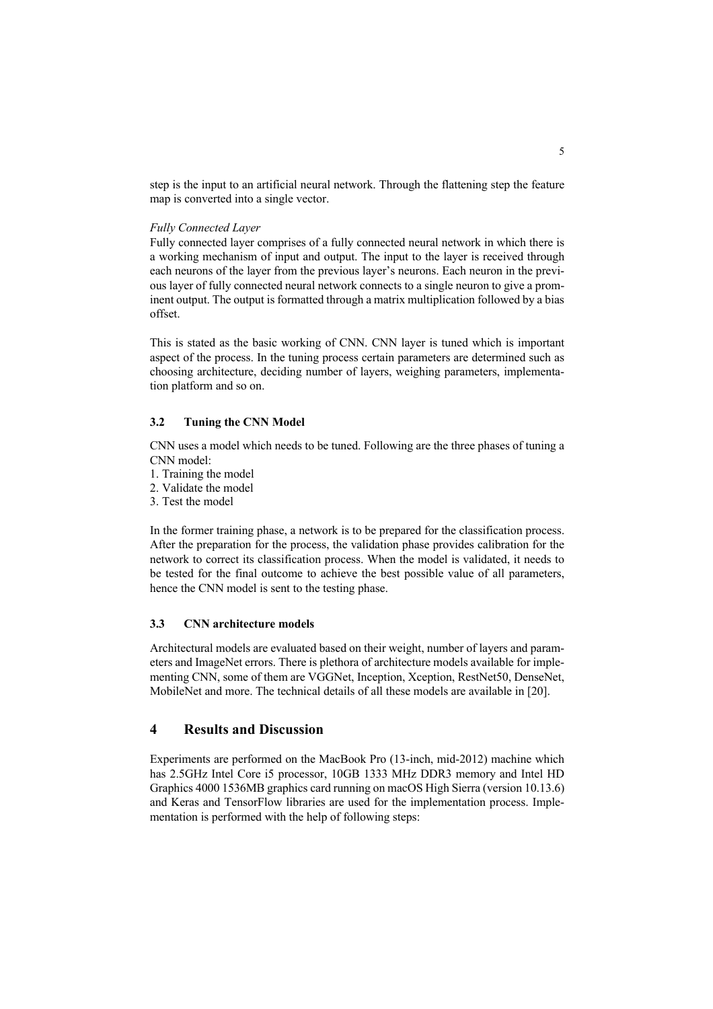step is the input to an artificial neural network. Through the flattening step the feature map is converted into a single vector.

### *Fully Connected Layer*

Fully connected layer comprises of a fully connected neural network in which there is a working mechanism of input and output. The input to the layer is received through each neurons of the layer from the previous layer's neurons. Each neuron in the previous layer of fully connected neural network connects to a single neuron to give a prominent output. The output is formatted through a matrix multiplication followed by a bias offset.

This is stated as the basic working of CNN. CNN layer is tuned which is important aspect of the process. In the tuning process certain parameters are determined such as choosing architecture, deciding number of layers, weighing parameters, implementation platform and so on.

### **3.2 Tuning the CNN Model**

CNN uses a model which needs to be tuned. Following are the three phases of tuning a CNN model:

- 1. Training the model
- 2. Validate the model
- 3. Test the model

In the former training phase, a network is to be prepared for the classification process. After the preparation for the process, the validation phase provides calibration for the network to correct its classification process. When the model is validated, it needs to be tested for the final outcome to achieve the best possible value of all parameters, hence the CNN model is sent to the testing phase.

### **3.3 CNN architecture models**

Architectural models are evaluated based on their weight, number of layers and parameters and ImageNet errors. There is plethora of architecture models available for implementing CNN, some of them are VGGNet, Inception, Xception, RestNet50, DenseNet, MobileNet and more. The technical details of all these models are available in [20].

# **4 Results and Discussion**

Experiments are performed on the MacBook Pro (13-inch, mid-2012) machine which has 2.5GHz Intel Core i5 processor, 10GB 1333 MHz DDR3 memory and Intel HD Graphics 4000 1536MB graphics card running on macOS High Sierra (version 10.13.6) and Keras and TensorFlow libraries are used for the implementation process. Implementation is performed with the help of following steps: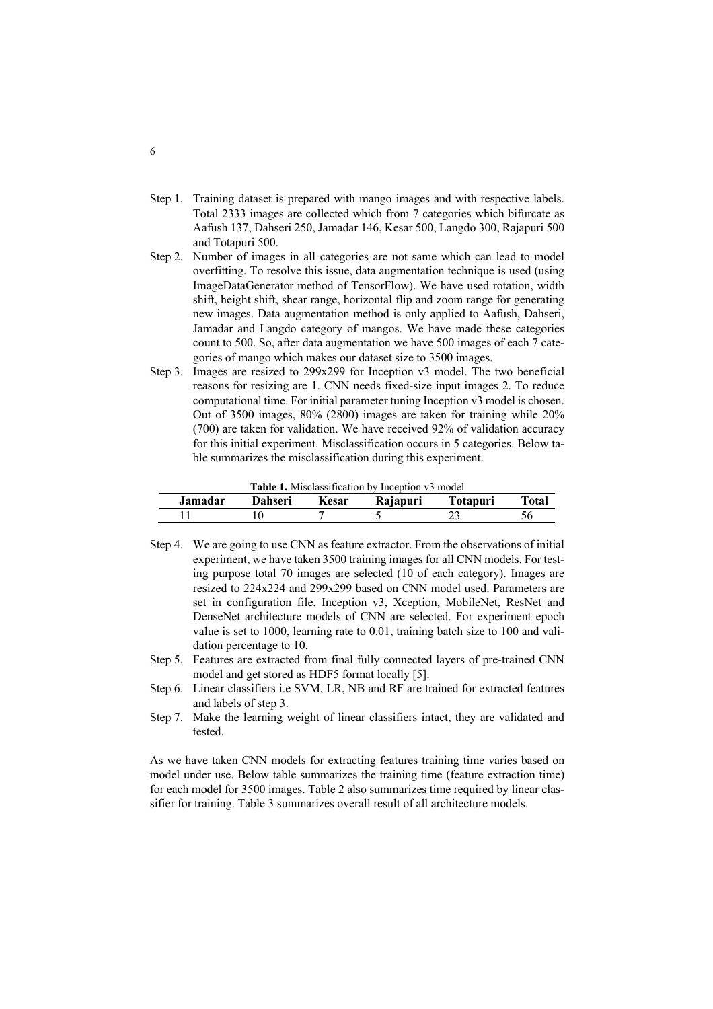- Step 1. Training dataset is prepared with mango images and with respective labels. Total 2333 images are collected which from 7 categories which bifurcate as Aafush 137, Dahseri 250, Jamadar 146, Kesar 500, Langdo 300, Rajapuri 500 and Totapuri 500.
- Step 2. Number of images in all categories are not same which can lead to model overfitting. To resolve this issue, data augmentation technique is used (using ImageDataGenerator method of TensorFlow). We have used rotation, width shift, height shift, shear range, horizontal flip and zoom range for generating new images. Data augmentation method is only applied to Aafush, Dahseri, Jamadar and Langdo category of mangos. We have made these categories count to 500. So, after data augmentation we have 500 images of each 7 categories of mango which makes our dataset size to 3500 images.
- Step 3. Images are resized to 299x299 for Inception v3 model. The two beneficial reasons for resizing are 1. CNN needs fixed-size input images 2. To reduce computational time. For initial parameter tuning Inception v3 model is chosen. Out of 3500 images, 80% (2800) images are taken for training while 20% (700) are taken for validation. We have received 92% of validation accuracy for this initial experiment. Misclassification occurs in 5 categories. Below table summarizes the misclassification during this experiment.

| <b>Table 1.</b> Misclassification by Inception v3 model |         |       |          |                 |       |
|---------------------------------------------------------|---------|-------|----------|-----------------|-------|
| Jamadar.                                                | Dahseri | Kesar | Rajapuri | <b>Totapuri</b> | Total |
|                                                         |         |       |          |                 |       |

- Step 4. We are going to use CNN as feature extractor. From the observations of initial experiment, we have taken 3500 training images for all CNN models. For testing purpose total 70 images are selected (10 of each category). Images are resized to 224x224 and 299x299 based on CNN model used. Parameters are set in configuration file. Inception v3, Xception, MobileNet, ResNet and DenseNet architecture models of CNN are selected. For experiment epoch value is set to 1000, learning rate to 0.01, training batch size to 100 and validation percentage to 10.
- Step 5. Features are extracted from final fully connected layers of pre-trained CNN model and get stored as HDF5 format locally [5].
- Step 6. Linear classifiers i.e SVM, LR, NB and RF are trained for extracted features and labels of step 3.
- Step 7. Make the learning weight of linear classifiers intact, they are validated and tested.

As we have taken CNN models for extracting features training time varies based on model under use. Below table summarizes the training time (feature extraction time) for each model for 3500 images. Table 2 also summarizes time required by linear classifier for training. Table 3 summarizes overall result of all architecture models.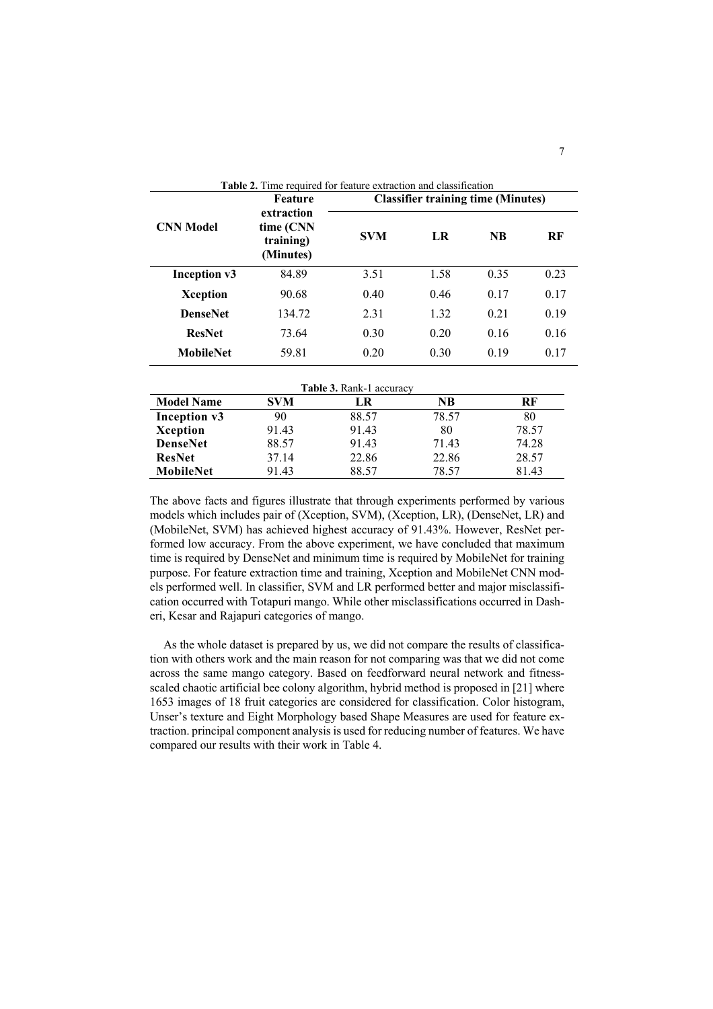| <b>Table 2.</b> Time required for feature extraction and classification |                                                   |                                           |      |           |      |  |
|-------------------------------------------------------------------------|---------------------------------------------------|-------------------------------------------|------|-----------|------|--|
| <b>CNN Model</b>                                                        | Feature                                           | <b>Classifier training time (Minutes)</b> |      |           |      |  |
|                                                                         | extraction<br>time (CNN<br>training)<br>(Minutes) | <b>SVM</b>                                | LR   | <b>NB</b> | RF   |  |
| Inception v3                                                            | 84.89                                             | 3.51                                      | 1.58 | 0.35      | 0.23 |  |
| Xception                                                                | 90.68                                             | 0.40                                      | 0.46 | 0.17      | 0.17 |  |
| <b>DenseNet</b>                                                         | 134.72                                            | 2.31                                      | 1.32 | 0.21      | 0.19 |  |
| <b>ResNet</b>                                                           | 73.64                                             | 0.30                                      | 0.20 | 0.16      | 0.16 |  |
| <b>MobileNet</b>                                                        | 59.81                                             | 0.20                                      | 0.30 | 0.19      | 0.17 |  |

|                   |            | <b>Table 3. Rank-1 accuracy</b> |       |       |
|-------------------|------------|---------------------------------|-------|-------|
| <b>Model Name</b> | <b>SVM</b> | LR                              | NB    | RF    |
| Inception v3      | 90         | 88.57                           | 78.57 | 80    |
| Xception          | 91.43      | 91.43                           | 80    | 78.57 |
| <b>DenseNet</b>   | 88.57      | 91.43                           | 71.43 | 74.28 |
| <b>ResNet</b>     | 37.14      | 22.86                           | 22.86 | 28.57 |
| MobileNet         | 91.43      | 88.57                           | 78.57 | 81.43 |

The above facts and figures illustrate that through experiments performed by various models which includes pair of (Xception, SVM), (Xception, LR), (DenseNet, LR) and (MobileNet, SVM) has achieved highest accuracy of 91.43%. However, ResNet performed low accuracy. From the above experiment, we have concluded that maximum time is required by DenseNet and minimum time is required by MobileNet for training purpose. For feature extraction time and training, Xception and MobileNet CNN models performed well. In classifier, SVM and LR performed better and major misclassification occurred with Totapuri mango. While other misclassifications occurred in Dasheri, Kesar and Rajapuri categories of mango.

As the whole dataset is prepared by us, we did not compare the results of classification with others work and the main reason for not comparing was that we did not come across the same mango category. Based on feedforward neural network and fitnessscaled chaotic artificial bee colony algorithm, hybrid method is proposed in [21] where 1653 images of 18 fruit categories are considered for classification. Color histogram, Unser's texture and Eight Morphology based Shape Measures are used for feature extraction. principal component analysis is used for reducing number of features. We have compared our results with their work in Table 4.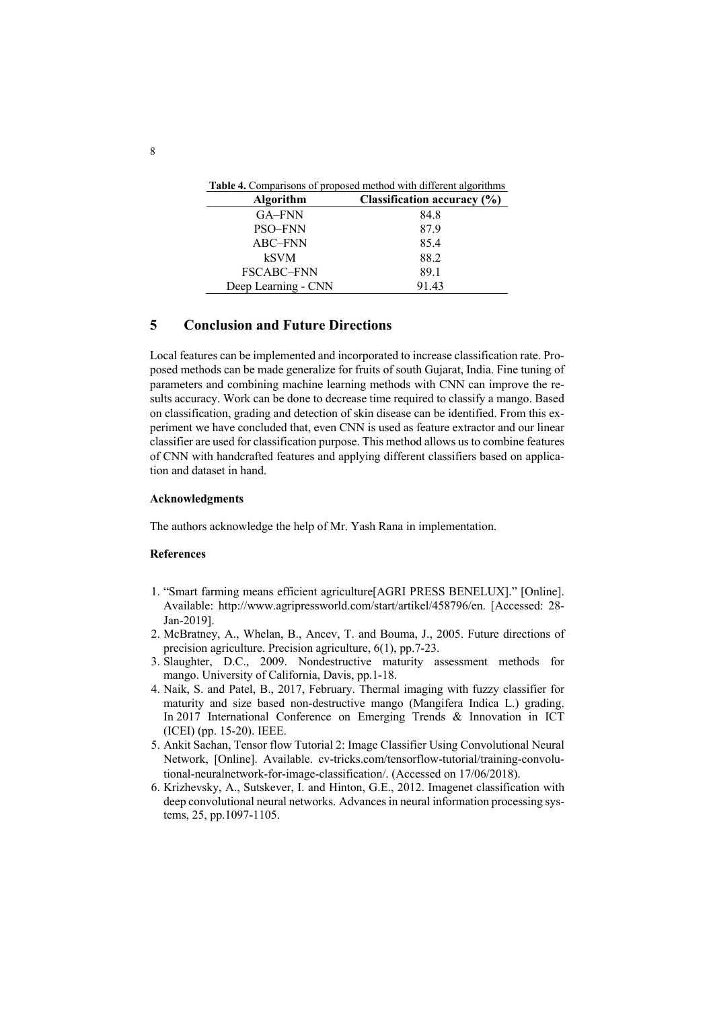| <b>Algorithm</b>    | Classification accuracy (%) |
|---------------------|-----------------------------|
| GA-FNN              | 84.8                        |
| PSO-FNN             | 87.9                        |
| ABC-FNN             | 85.4                        |
| <b>kSVM</b>         | 88.2                        |
| FSCABC-FNN          | 89.1                        |
| Deep Learning - CNN | 91.43                       |

# **5 Conclusion and Future Directions**

Local features can be implemented and incorporated to increase classification rate. Proposed methods can be made generalize for fruits of south Gujarat, India. Fine tuning of parameters and combining machine learning methods with CNN can improve the results accuracy. Work can be done to decrease time required to classify a mango. Based on classification, grading and detection of skin disease can be identified. From this experiment we have concluded that, even CNN is used as feature extractor and our linear classifier are used for classification purpose. This method allows us to combine features of CNN with handcrafted features and applying different classifiers based on application and dataset in hand.

### **Acknowledgments**

The authors acknowledge the help of Mr. Yash Rana in implementation.

#### **References**

- 1. "Smart farming means efficient agriculture[AGRI PRESS BENELUX]." [Online]. Available: http://www.agripressworld.com/start/artikel/458796/en. [Accessed: 28- Jan-2019].
- 2. McBratney, A., Whelan, B., Ancev, T. and Bouma, J., 2005. Future directions of precision agriculture. Precision agriculture, 6(1), pp.7-23.
- 3. Slaughter, D.C., 2009. Nondestructive maturity assessment methods for mango. University of California, Davis, pp.1-18.
- 4. Naik, S. and Patel, B., 2017, February. Thermal imaging with fuzzy classifier for maturity and size based non-destructive mango (Mangifera Indica L.) grading. In 2017 International Conference on Emerging Trends & Innovation in ICT (ICEI) (pp. 15-20). IEEE.
- 5. Ankit Sachan, Tensor flow Tutorial 2: Image Classifier Using Convolutional Neural Network, [Online]. Available. cv-tricks.com/tensorflow-tutorial/training-convolutional-neuralnetwork-for-image-classification/. (Accessed on 17/06/2018).
- 6. Krizhevsky, A., Sutskever, I. and Hinton, G.E., 2012. Imagenet classification with deep convolutional neural networks. Advances in neural information processing systems, 25, pp.1097-1105.